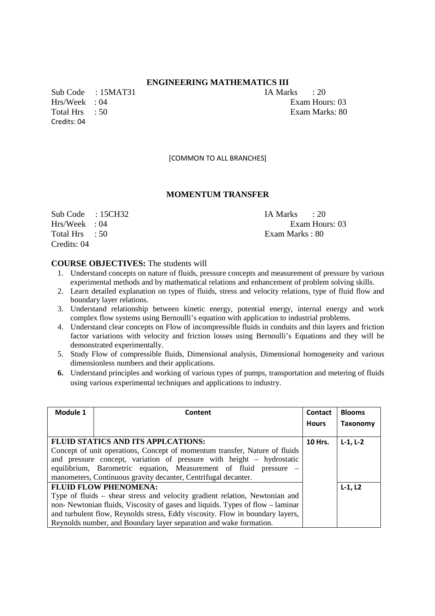# **ENGINEERING MATHEMATICS III**

Sub Code : 15MAT31 IA Marks : 20 Hrs/Week : 04 Exam Hours: 03 Total Hrs : 50 Exam Marks: 80 Credits: 04

[COMMON TO ALL BRANCHES]

## **MOMENTUM TRANSFER**

Sub Code : 15CH32 IA Marks : 20 Total Hrs : 50 Exam Marks : 80 Credits: 04

Hrs/Week : 04 Exam Hours: 03

- 1. Understand concepts on nature of fluids, pressure concepts and measurement of pressure by various experimental methods and by mathematical relations and enhancement of problem solving skills.
- 2. Learn detailed explanation on types of fluids, stress and velocity relations, type of fluid flow and boundary layer relations.
- 3. Understand relationship between kinetic energy, potential energy, internal energy and work complex flow systems using Bernoulli's equation with application to industrial problems.
- 4. Understand clear concepts on Flow of incompressible fluids in conduits and thin layers and friction factor variations with velocity and friction losses using Bernoulli's Equations and they will be demonstrated experimentally.
- 5. Study Flow of compressible fluids, Dimensional analysis, Dimensional homogeneity and various dimensionless numbers and their applications.
- **6.** Understand principles and working of various types of pumps, transportation and metering of fluids using various experimental techniques and applications to industry.

| Module 1                                                                    | Content                                                                       | Contact      | <b>Blooms</b> |
|-----------------------------------------------------------------------------|-------------------------------------------------------------------------------|--------------|---------------|
|                                                                             |                                                                               | <b>Hours</b> | Taxonomy      |
|                                                                             | <b>FLUID STATICS AND ITS APPLCATIONS:</b>                                     | 10 Hrs.      | $L-1, L-2$    |
|                                                                             | Concept of unit operations, Concept of momentum transfer, Nature of fluids    |              |               |
|                                                                             | and pressure concept, variation of pressure with height – hydrostatic         |              |               |
|                                                                             | equilibrium, Barometric equation, Measurement of fluid pressure –             |              |               |
|                                                                             | manometers, Continuous gravity decanter, Centrifugal decanter.                |              |               |
| <b>FLUID FLOW PHENOMENA:</b>                                                |                                                                               |              | $L-1. L2$     |
| Type of fluids – shear stress and velocity gradient relation, Newtonian and |                                                                               |              |               |
|                                                                             | non-Newtonian fluids, Viscosity of gases and liquids. Types of flow – laminar |              |               |
|                                                                             | and turbulent flow, Reynolds stress, Eddy viscosity. Flow in boundary layers, |              |               |
|                                                                             | Reynolds number, and Boundary layer separation and wake formation.            |              |               |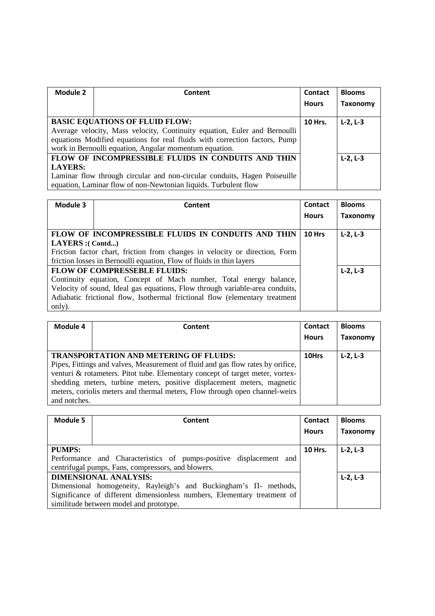| Module 2       | Content                                                                    | <b>Contact</b> | <b>Blooms</b> |
|----------------|----------------------------------------------------------------------------|----------------|---------------|
|                |                                                                            | <b>Hours</b>   | Taxonomy      |
|                |                                                                            |                |               |
|                | <b>BASIC EQUATIONS OF FLUID FLOW:</b>                                      | <b>10 Hrs.</b> | $L-2, L-3$    |
|                | Average velocity, Mass velocity, Continuity equation, Euler and Bernoulli  |                |               |
|                | equations Modified equations for real fluids with correction factors, Pump |                |               |
|                | work in Bernoulli equation, Angular momentum equation.                     |                |               |
|                | FLOW OF INCOMPRESSIBLE FLUIDS IN CONDUITS AND THIN                         |                | $L-2, L-3$    |
| <b>LAYERS:</b> |                                                                            |                |               |
|                | Laminar flow through circular and non-circular conduits, Hagen Poiseuille  |                |               |
|                | equation, Laminar flow of non-Newtonian liquids. Turbulent flow            |                |               |

| Module 3         | Content                                                                      | Contact      | <b>Blooms</b> |
|------------------|------------------------------------------------------------------------------|--------------|---------------|
|                  |                                                                              | <b>Hours</b> | Taxonomy      |
|                  |                                                                              |              |               |
|                  | FLOW OF INCOMPRESSIBLE FLUIDS IN CONDUITS AND THIN                           | 10 Hrs       | $L-2, L-3$    |
| LAYERS :( Contd) |                                                                              |              |               |
|                  | Friction factor chart, friction from changes in velocity or direction, Form  |              |               |
|                  | friction losses in Bernoulli equation, Flow of fluids in thin layers         |              |               |
|                  | <b>FLOW OF COMPRESSEBLE FLUIDS:</b>                                          |              | $L-2, L-3$    |
|                  | Continuity equation, Concept of Mach number, Total energy balance,           |              |               |
|                  | Velocity of sound, Ideal gas equations, Flow through variable-area conduits, |              |               |
|                  | Adiabatic frictional flow, Isothermal frictional flow (elementary treatment  |              |               |
| only).           |                                                                              |              |               |

| Module 4     | Content                                                                                                                                                                                                                                                                                                                                                                     | <b>Contact</b><br><b>Hours</b> | <b>Blooms</b><br><b>Taxonomy</b> |
|--------------|-----------------------------------------------------------------------------------------------------------------------------------------------------------------------------------------------------------------------------------------------------------------------------------------------------------------------------------------------------------------------------|--------------------------------|----------------------------------|
| and notches. | <b>TRANSPORTATION AND METERING OF FLUIDS:</b><br>Pipes, Fittings and valves, Measurement of fluid and gas flow rates by orifice,<br>venturi & rotameters. Pitot tube. Elementary concept of target meter, vortex-<br>shedding meters, turbine meters, positive displacement meters, magnetic<br>meters, coriolis meters and thermal meters, Flow through open channel-weirs | 10Hrs                          | $L-2, L-3$                       |

| Module 5      | Content                                                                  | <b>Contact</b> | <b>Blooms</b> |
|---------------|--------------------------------------------------------------------------|----------------|---------------|
|               |                                                                          | <b>Hours</b>   | Taxonomy      |
|               |                                                                          |                |               |
| <b>PUMPS:</b> |                                                                          | <b>10 Hrs.</b> | $L-2, L-3$    |
|               | Performance and Characteristics of pumps-positive displacement and       |                |               |
|               | centrifugal pumps, Fans, compressors, and blowers.                       |                |               |
|               | <b>DIMENSIONAL ANALYSIS:</b>                                             |                | $L-2, L-3$    |
|               | Dimensional homogeneity, Rayleigh's and Buckingham's $\Pi$ - methods,    |                |               |
|               | Significance of different dimensionless numbers, Elementary treatment of |                |               |
|               | similitude between model and prototype.                                  |                |               |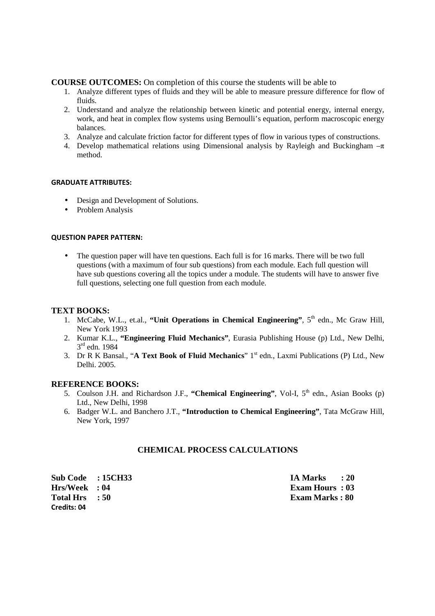# **COURSE OUTCOMES:** On completion of this course the students will be able to

- 1. Analyze different types of fluids and they will be able to measure pressure difference for flow of fluids.
- 2. Understand and analyze the relationship between kinetic and potential energy, internal energy, work, and heat in complex flow systems using Bernoulli's equation, perform macroscopic energy balances.
- 3. Analyze and calculate friction factor for different types of flow in various types of constructions.
- 4. Develop mathematical relations using Dimensional analysis by Rayleigh and Buckingham  $-\pi$ method.

### **GRADUATE ATTRIBUTES:**

- Design and Development of Solutions.
- Problem Analysis

## **QUESTION PAPER PATTERN:**

• The question paper will have ten questions. Each full is for 16 marks. There will be two full questions (with a maximum of four sub questions) from each module. Each full question will have sub questions covering all the topics under a module. The students will have to answer five full questions, selecting one full question from each module.

# **TEXT BOOKS:**

- 1. McCabe, W.L., et.al., **"Unit Operations in Chemical Engineering"**, 5<sup>th</sup> edn., Mc Graw Hill, New York 1993
- 2. Kumar K.L., **"Engineering Fluid Mechanics"**, Eurasia Publishing House (p) Ltd., New Delhi, 3 rd edn. 1984
- 3. Dr R K Bansal., "**A Text Book of Fluid Mechanics**" 1st edn., Laxmi Publications (P) Ltd., New Delhi. 2005.

## **REFERENCE BOOKS:**

- 5. Coulson J.H. and Richardson J.F., "Chemical Engineering", Vol-I, 5<sup>th</sup> edn., Asian Books (p) Ltd., New Delhi, 1998
- 6. Badger W.L. and Banchero J.T., **"Introduction to Chemical Engineering"**, Tata McGraw Hill, New York, 1997

# **CHEMICAL PROCESS CALCULATIONS**

**Sub Code : 15CH33 IA Marks : 20 Hrs/Week : 04 Exam Hours : 03 Total Hrs** : 50 **Exam Marks : 80 Exam Marks : 80 Credits: 04**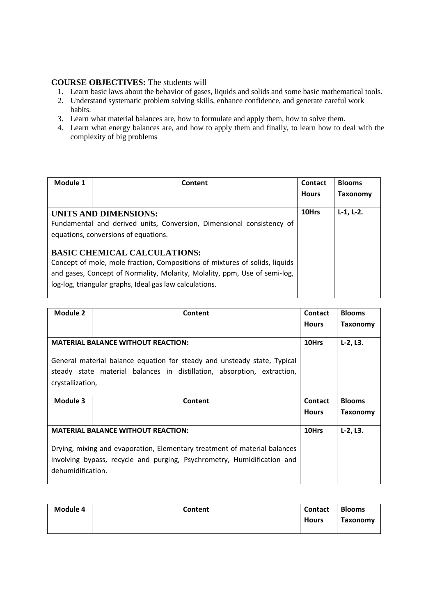- 1. Learn basic laws about the behavior of gases, liquids and solids and some basic mathematical tools.
- 2. Understand systematic problem solving skills, enhance confidence, and generate careful work habits.
- 3. Learn what material balances are, how to formulate and apply them, how to solve them.
- 4. Learn what energy balances are, and how to apply them and finally, to learn how to deal with the complexity of big problems

| Module 1 | Content                                                                                                                                                                                                                                                     | Contact      | <b>Blooms</b> |
|----------|-------------------------------------------------------------------------------------------------------------------------------------------------------------------------------------------------------------------------------------------------------------|--------------|---------------|
|          |                                                                                                                                                                                                                                                             | <b>Hours</b> | Taxonomy      |
|          | UNITS AND DIMENSIONS:                                                                                                                                                                                                                                       | 10Hrs        | $L-1, L-2.$   |
|          | Fundamental and derived units, Conversion, Dimensional consistency of<br>equations, conversions of equations.                                                                                                                                               |              |               |
|          | <b>BASIC CHEMICAL CALCULATIONS:</b><br>Concept of mole, mole fraction, Compositions of mixtures of solids, liquids<br>and gases, Concept of Normality, Molarity, Molality, ppm, Use of semi-log,<br>log-log, triangular graphs, Ideal gas law calculations. |              |               |

| <b>Module 2</b>   | Content                                                                   | <b>Contact</b> | <b>Blooms</b> |
|-------------------|---------------------------------------------------------------------------|----------------|---------------|
|                   |                                                                           | <b>Hours</b>   | Taxonomy      |
|                   |                                                                           |                |               |
|                   | <b>MATERIAL BALANCE WITHOUT REACTION:</b>                                 | 10Hrs          | $L-2, L3.$    |
|                   | General material balance equation for steady and unsteady state, Typical  |                |               |
|                   | steady state material balances in distillation, absorption, extraction,   |                |               |
| crystallization,  |                                                                           |                |               |
|                   |                                                                           |                |               |
|                   |                                                                           |                |               |
| Module 3          | Content                                                                   | <b>Contact</b> | <b>Blooms</b> |
|                   |                                                                           | <b>Hours</b>   | Taxonomy      |
|                   |                                                                           |                |               |
|                   | <b>MATERIAL BALANCE WITHOUT REACTION:</b>                                 | 10Hrs          | $L-2, L3.$    |
|                   |                                                                           |                |               |
|                   | Drying, mixing and evaporation, Elementary treatment of material balances |                |               |
|                   | involving bypass, recycle and purging, Psychrometry, Humidification and   |                |               |
| dehumidification. |                                                                           |                |               |

| Module 4 | Content | Contact      | <b>Blooms</b> |
|----------|---------|--------------|---------------|
|          |         | <b>Hours</b> | Taxonomy      |
|          |         |              |               |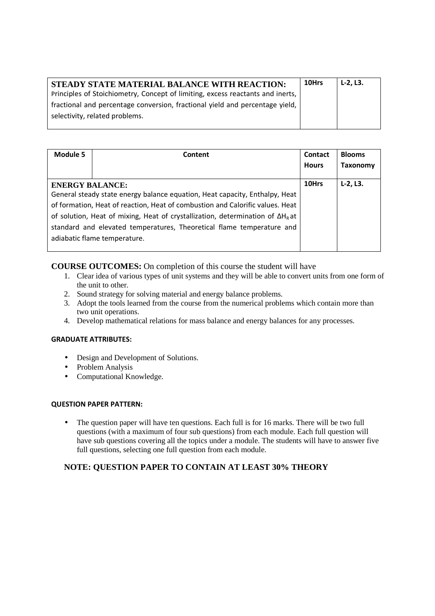| 10Hrs | L-2. L3. |
|-------|----------|
|       |          |
|       |          |
|       |          |

| Module 5               | Content                                                                                | <b>Contact</b> | <b>Blooms</b>   |
|------------------------|----------------------------------------------------------------------------------------|----------------|-----------------|
|                        |                                                                                        | <b>Hours</b>   | <b>Taxonomy</b> |
|                        |                                                                                        |                |                 |
| <b>ENERGY BALANCE:</b> |                                                                                        | 10Hrs          | $L-2, L3.$      |
|                        | General steady state energy balance equation, Heat capacity, Enthalpy, Heat            |                |                 |
|                        | of formation, Heat of reaction, Heat of combustion and Calorific values. Heat          |                |                 |
|                        | of solution, Heat of mixing, Heat of crystallization, determination of $\Delta H_R$ at |                |                 |
|                        | standard and elevated temperatures, Theoretical flame temperature and                  |                |                 |
|                        | adiabatic flame temperature.                                                           |                |                 |
|                        |                                                                                        |                |                 |

# **COURSE OUTCOMES:** On completion of this course the student will have

- 1. Clear idea of various types of unit systems and they will be able to convert units from one form of the unit to other.
- 2. Sound strategy for solving material and energy balance problems.
- 3. Adopt the tools learned from the course from the numerical problems which contain more than two unit operations.
- 4. Develop mathematical relations for mass balance and energy balances for any processes.

## **GRADUATE ATTRIBUTES:**

- Design and Development of Solutions.
- Problem Analysis
- Computational Knowledge.

## **QUESTION PAPER PATTERN:**

• The question paper will have ten questions. Each full is for 16 marks. There will be two full questions (with a maximum of four sub questions) from each module. Each full question will have sub questions covering all the topics under a module. The students will have to answer five full questions, selecting one full question from each module.

# **NOTE: QUESTION PAPER TO CONTAIN AT LEAST 30% THEORY**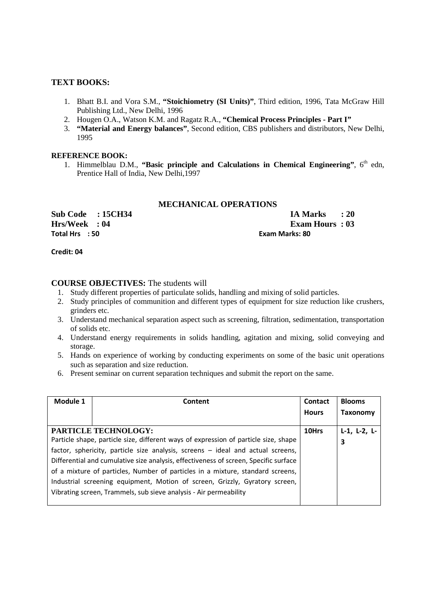# **TEXT BOOKS:**

- 1. Bhatt B.I. and Vora S.M., **"Stoichiometry (SI Units)"**, Third edition, 1996, Tata McGraw Hill Publishing Ltd., New Delhi, 1996
- 2. Hougen O.A., Watson K.M. and Ragatz R.A., **"Chemical Process Principles Part I"**
- 3. **"Material and Energy balances"**, Second edition, CBS publishers and distributors, New Delhi, 1995

#### **REFERENCE BOOK:**

1. Himmelblau D.M., "Basic principle and Calculations in Chemical Engineering", 6<sup>th</sup> edn, Prentice Hall of India, New Delhi,1997

# **MECHANICAL OPERATIONS**

**Total Hrs : 50 Exam Marks: 80** 

**Sub Code : 15CH34 IA Marks : 20 Hrs/Week : 04 Exam Hours : 03** 

**Credit: 04** 

- 1. Study different properties of particulate solids, handling and mixing of solid particles.
- 2. Study principles of communition and different types of equipment for size reduction like crushers, grinders etc.
- 3. Understand mechanical separation aspect such as screening, filtration, sedimentation, transportation of solids etc.
- 4. Understand energy requirements in solids handling, agitation and mixing, solid conveying and storage.
- 5. Hands on experience of working by conducting experiments on some of the basic unit operations such as separation and size reduction.
- 6. Present seminar on current separation techniques and submit the report on the same.

| Module 1 | Content                                                                              | <b>Contact</b> | <b>Blooms</b>        |
|----------|--------------------------------------------------------------------------------------|----------------|----------------------|
|          |                                                                                      | <b>Hours</b>   | Taxonomy             |
|          | <b>PARTICLE TECHNOLOGY:</b>                                                          | 10Hrs          | $L-1$ , $L-2$ , $L-$ |
|          |                                                                                      |                |                      |
|          | Particle shape, particle size, different ways of expression of particle size, shape  |                | 3                    |
|          | factor, sphericity, particle size analysis, screens - ideal and actual screens,      |                |                      |
|          | Differential and cumulative size analysis, effectiveness of screen, Specific surface |                |                      |
|          | of a mixture of particles, Number of particles in a mixture, standard screens,       |                |                      |
|          | Industrial screening equipment, Motion of screen, Grizzly, Gyratory screen,          |                |                      |
|          | Vibrating screen, Trammels, sub sieve analysis - Air permeability                    |                |                      |
|          |                                                                                      |                |                      |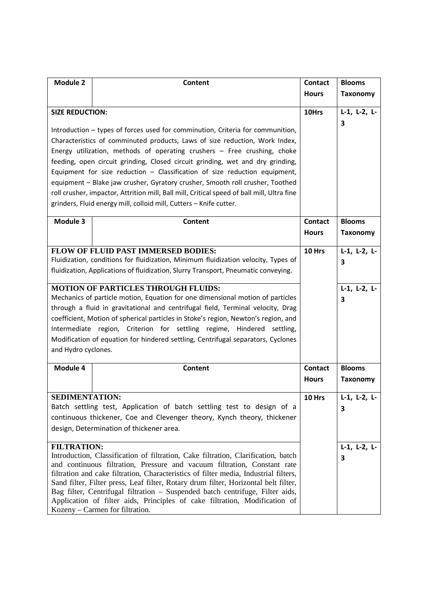| <b>Module 2</b>                          | Content                                                                                                                                                          | <b>Contact</b> | <b>Blooms</b>        |
|------------------------------------------|------------------------------------------------------------------------------------------------------------------------------------------------------------------|----------------|----------------------|
|                                          |                                                                                                                                                                  | <b>Hours</b>   | <b>Taxonomy</b>      |
| <b>SIZE REDUCTION:</b>                   |                                                                                                                                                                  | 10Hrs          | $L-1$ , $L-2$ , $L-$ |
|                                          |                                                                                                                                                                  |                | 3                    |
|                                          | Introduction - types of forces used for comminution, Criteria for communition,                                                                                   |                |                      |
|                                          | Characteristics of comminuted products, Laws of size reduction, Work Index,                                                                                      |                |                      |
|                                          | Energy utilization, methods of operating crushers - Free crushing, choke                                                                                         |                |                      |
|                                          | feeding, open circuit grinding, Closed circuit grinding, wet and dry grinding,                                                                                   |                |                      |
|                                          | Equipment for size reduction $-$ Classification of size reduction equipment,<br>equipment - Blake jaw crusher, Gyratory crusher, Smooth roll crusher, Toothed    |                |                      |
|                                          | roll crusher, impactor, Attrition mill, Ball mill, Critical speed of ball mill, Ultra fine                                                                       |                |                      |
|                                          | grinders, Fluid energy mill, colloid mill, Cutters - Knife cutter.                                                                                               |                |                      |
|                                          |                                                                                                                                                                  |                |                      |
| Module 3                                 | Content                                                                                                                                                          | Contact        | <b>Blooms</b>        |
|                                          |                                                                                                                                                                  | <b>Hours</b>   | <b>Taxonomy</b>      |
|                                          | <b>FLOW OF FLUID PAST IMMERSED BODIES:</b>                                                                                                                       | 10 Hrs         | $L-1$ , $L-2$ , $L-$ |
|                                          | Fluidization, conditions for fluidization, Minimum fluidization velocity, Types of                                                                               |                | 3                    |
|                                          | fluidization, Applications of fluidization, Slurry Transport, Pneumatic conveying.                                                                               |                |                      |
|                                          | <b>MOTION OF PARTICLES THROUGH FLUIDS:</b>                                                                                                                       |                | $L-1$ , $L-2$ , $L-$ |
|                                          | Mechanics of particle motion, Equation for one dimensional motion of particles                                                                                   |                | 3                    |
|                                          | through a fluid in gravitational and centrifugal field, Terminal velocity, Drag                                                                                  |                |                      |
|                                          | coefficient, Motion of spherical particles in Stoke's region, Newton's region, and<br>Intermediate region, Criterion for settling regime, Hindered settling,     |                |                      |
|                                          | Modification of equation for hindered settling, Centrifugal separators, Cyclones                                                                                 |                |                      |
| and Hydro cyclones.                      |                                                                                                                                                                  |                |                      |
|                                          |                                                                                                                                                                  |                |                      |
| Module 4                                 | Content                                                                                                                                                          | Contact        | <b>Blooms</b>        |
|                                          |                                                                                                                                                                  | <b>Hours</b>   | <b>Taxonomy</b>      |
| <b>SEDIMENTATION:</b>                    |                                                                                                                                                                  | 10 Hrs         | $L-1$ , $L-2$ , $L-$ |
|                                          | Batch settling test, Application of batch settling test to design of a                                                                                           |                | 3                    |
|                                          | continuous thickener, Coe and Clevenger theory, Kynch theory, thickener                                                                                          |                |                      |
| design, Determination of thickener area. |                                                                                                                                                                  |                |                      |
| <b>FILTRATION:</b>                       |                                                                                                                                                                  |                | $L-1$ , $L-2$ , $L-$ |
|                                          | Introduction, Classification of filtration, Cake filtration, Clarification, batch                                                                                |                | 3                    |
|                                          | and continuous filtration, Pressure and vacuum filtration, Constant rate<br>filtration and cake filtration, Characteristics of filter media, Industrial filters, |                |                      |
|                                          | Sand filter, Filter press, Leaf filter, Rotary drum filter, Horizontal belt filter,                                                                              |                |                      |
|                                          | Bag filter, Centrifugal filtration - Suspended batch centrifuge, Filter aids,                                                                                    |                |                      |
|                                          | Application of filter aids, Principles of cake filtration, Modification of<br>Kozeny – Carmen for filtration.                                                    |                |                      |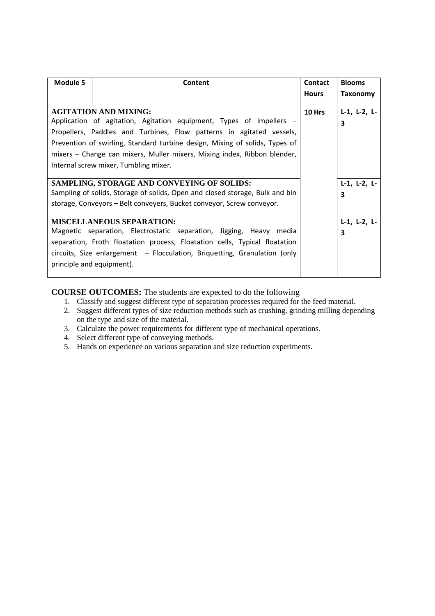| <b>Module 5</b>           | Content                                                                      | Contact      | <b>Blooms</b>        |
|---------------------------|------------------------------------------------------------------------------|--------------|----------------------|
|                           |                                                                              | <b>Hours</b> | Taxonomy             |
|                           | <b>AGITATION AND MIXING:</b>                                                 | 10 Hrs       | $L-1$ , $L-2$ , $L-$ |
|                           | Application of agitation, Agitation equipment, Types of impellers –          |              | 3                    |
|                           | Propellers, Paddles and Turbines, Flow patterns in agitated vessels,         |              |                      |
|                           | Prevention of swirling, Standard turbine design, Mixing of solids, Types of  |              |                      |
|                           | mixers – Change can mixers, Muller mixers, Mixing index, Ribbon blender,     |              |                      |
|                           | Internal screw mixer, Tumbling mixer.                                        |              |                      |
|                           |                                                                              |              |                      |
|                           | SAMPLING, STORAGE AND CONVEYING OF SOLIDS:                                   |              | $L-1$ , $L-2$ , $L-$ |
|                           | Sampling of solids, Storage of solids, Open and closed storage, Bulk and bin |              | 3                    |
|                           | storage, Conveyors - Belt conveyers, Bucket conveyor, Screw conveyor.        |              |                      |
|                           | <b>MISCELLANEOUS SEPARATION:</b>                                             |              | $L-1$ , $L-2$ , $L-$ |
|                           | Magnetic separation, Electrostatic separation, Jigging, Heavy media          |              | 3                    |
|                           | separation, Froth floatation process, Floatation cells, Typical floatation   |              |                      |
|                           | circuits, Size enlargement - Flocculation, Briquetting, Granulation (only    |              |                      |
| principle and equipment). |                                                                              |              |                      |
|                           |                                                                              |              |                      |

# **COURSE OUTCOMES:** The students are expected to do the following

- 1. Classify and suggest different type of separation processes required for the feed material.
- 2. Suggest different types of size reduction methods such as crushing, grinding milling depending on the type and size of the material.
- 3. Calculate the power requirements for different type of mechanical operations.
- 4. Select different type of conveying methods.
- 5. Hands on experience on various separation and size reduction experiments.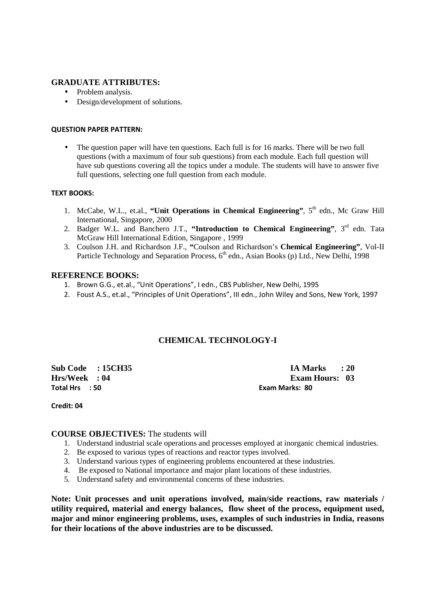# **GRADUATE ATTRIBUTES:**

- Problem analysis.
- Design/development of solutions.

#### **QUESTION PAPER PATTERN:**

• The question paper will have ten questions. Each full is for 16 marks. There will be two full questions (with a maximum of four sub questions) from each module. Each full question will have sub questions covering all the topics under a module. The students will have to answer five full questions, selecting one full question from each module.

#### **TEXT BOOKS:**

- 1. McCabe, W.L., et.al., **"Unit Operations in Chemical Engineering"**, 5<sup>th</sup> edn., Mc Graw Hill International, Singapore, 2000
- 2. Badger W.L. and Banchero J.T., "Introduction to Chemical Engineering", 3<sup>rd</sup> edn. Tata McGraw Hill International Edition, Singapore , 1999
- 3. Coulson J.H. and Richardson J.F., **"**Coulson and Richardson's **Chemical Engineering"**, Vol-II Particle Technology and Separation Process, 6<sup>th</sup> edn., Asian Books (p) Ltd., New Delhi, 1998

# **REFERENCE BOOKS:**

- 1. Brown G.G., et.al., "Unit Operations", I edn., CBS Publisher, New Delhi, 1995
- 2. Foust A.S., et.al., "Principles of Unit Operations", III edn., John Wiley and Sons, New York, 1997

# **CHEMICAL TECHNOLOGY-I**

**Total Hrs : 50 Exam Marks: 80** 

**Sub Code : 15CH35 IA Marks : 20 Hrs/Week : 04 Exam Hours: 03** 

#### **Credit: 04**

## **COURSE OBJECTIVES:** The students will

- 1. Understand industrial scale operations and processes employed at inorganic chemical industries.
- 2. Be exposed to various types of reactions and reactor types involved.
- 3. Understand various types of engineering problems encountered at these industries.
- 4. Be exposed to National importance and major plant locations of these industries.
- 5. Understand safety and environmental concerns of these industries.

**Note: Unit processes and unit operations involved, main/side reactions, raw materials / utility required, material and energy balances, flow sheet of the process, equipment used, major and minor engineering problems, uses, examples of such industries in India, reasons for their locations of the above industries are to be discussed.**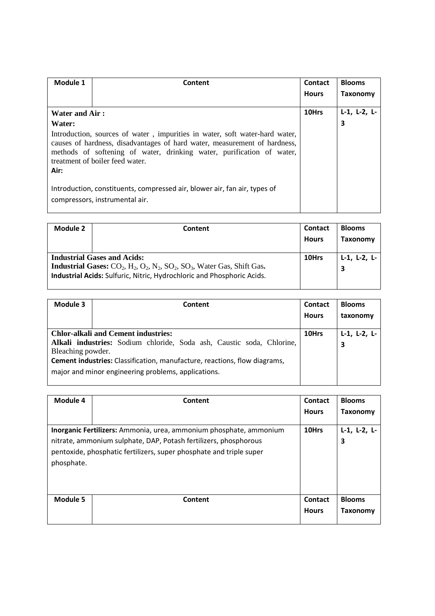| Module 1              | Content                                                                                                                                                                                                                                                              | <b>Contact</b> | <b>Blooms</b>        |
|-----------------------|----------------------------------------------------------------------------------------------------------------------------------------------------------------------------------------------------------------------------------------------------------------------|----------------|----------------------|
|                       |                                                                                                                                                                                                                                                                      | <b>Hours</b>   | Taxonomy             |
| <b>Water and Air:</b> |                                                                                                                                                                                                                                                                      | 10Hrs          | $L-1$ , $L-2$ , $L-$ |
| Water:                |                                                                                                                                                                                                                                                                      |                | 3                    |
| Air:                  | Introduction, sources of water, impurities in water, soft water-hard water,<br>causes of hardness, disadvantages of hard water, measurement of hardness,<br>methods of softening of water, drinking water, purification of water,<br>treatment of boiler feed water. |                |                      |
|                       | Introduction, constituents, compressed air, blower air, fan air, types of<br>compressors, instrumental air.                                                                                                                                                          |                |                      |

| Module 2 | Content                                                                                                                                                                                                           | <b>Contact</b><br><b>Hours</b> | <b>Blooms</b><br>Taxonomy |
|----------|-------------------------------------------------------------------------------------------------------------------------------------------------------------------------------------------------------------------|--------------------------------|---------------------------|
|          | <b>Industrial Gases and Acids:</b><br><b>Industrial Gases:</b> $CO_2$ , $H_2$ , $O_2$ , $N_2$ , $SO_2$ , $SO_3$ , Water Gas, Shift Gas.<br>Industrial Acids: Sulfuric, Nitric, Hydrochloric and Phosphoric Acids. | 10Hrs                          | $L-1$ , $L-2$ , $L-$<br>3 |

| Module 3          | Content                                                                          | <b>Contact</b><br><b>Hours</b> | <b>Blooms</b><br>taxonomy |
|-------------------|----------------------------------------------------------------------------------|--------------------------------|---------------------------|
|                   | <b>Chlor-alkali and Cement industries:</b>                                       | 10Hrs                          | $L-1$ , $L-2$ , $L-$      |
|                   | Alkali industries: Sodium chloride, Soda ash, Caustic soda, Chlorine,            |                                | 3                         |
| Bleaching powder. |                                                                                  |                                |                           |
|                   | <b>Cement industries:</b> Classification, manufacture, reactions, flow diagrams, |                                |                           |
|                   | major and minor engineering problems, applications.                              |                                |                           |

| Module 4   | Content                                                                                                                                                                                                       | <b>Contact</b><br><b>Hours</b> | <b>Blooms</b><br>Taxonomy |
|------------|---------------------------------------------------------------------------------------------------------------------------------------------------------------------------------------------------------------|--------------------------------|---------------------------|
| phosphate. | Inorganic Fertilizers: Ammonia, urea, ammonium phosphate, ammonium<br>nitrate, ammonium sulphate, DAP, Potash fertilizers, phosphorous<br>pentoxide, phosphatic fertilizers, super phosphate and triple super | 10Hrs                          | $L-1$ , $L-2$ , $L-$<br>3 |
| Module 5   | Content                                                                                                                                                                                                       | <b>Contact</b><br><b>Hours</b> | <b>Blooms</b><br>Taxonomy |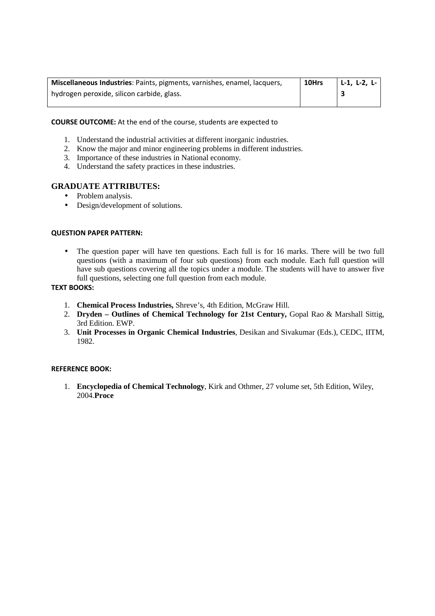| L-1, L-2, L- |
|--------------|
|              |
|              |

## **COURSE OUTCOME:** At the end of the course, students are expected to

- 1. Understand the industrial activities at different inorganic industries.
- 2. Know the major and minor engineering problems in different industries.
- 3. Importance of these industries in National economy.
- 4. Understand the safety practices in these industries.

# **GRADUATE ATTRIBUTES:**

- Problem analysis.
- Design/development of solutions.

#### **QUESTION PAPER PATTERN:**

• The question paper will have ten questions. Each full is for 16 marks. There will be two full questions (with a maximum of four sub questions) from each module. Each full question will have sub questions covering all the topics under a module. The students will have to answer five full questions, selecting one full question from each module.

#### **TEXT BOOKS:**

- 1. **Chemical Process Industries,** Shreve's, 4th Edition, McGraw Hill.
- 2. **Dryden Outlines of Chemical Technology for 21st Century,** Gopal Rao & Marshall Sittig, 3rd Edition. EWP.
- 3. **Unit Processes in Organic Chemical Industries**, Desikan and Sivakumar (Eds.), CEDC, IITM, 1982.

#### **REFERENCE BOOK:**

1. **Encyclopedia of Chemical Technology**, Kirk and Othmer, 27 volume set, 5th Edition, Wiley, 2004.**Proce**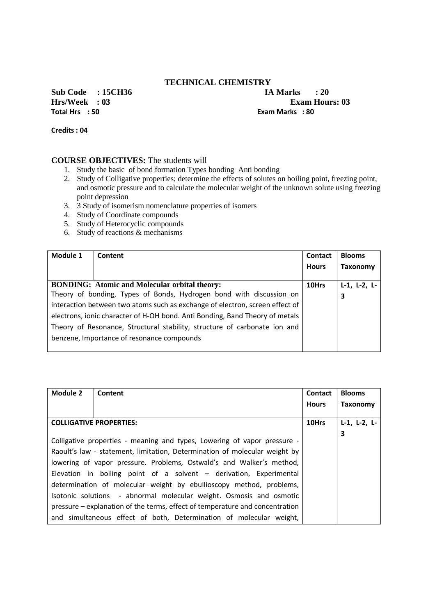# **TECHNICAL CHEMISTRY**

**Sub Code : 15CH36 IA Marks : 20**<br>**Hrs/Week** : 03 **Exam Hou Total Hrs : 50 Exam Marks : 80** 

**Exam Hours: 03** 

**Credits : 04** 

- 1. Study the basic of bond formation Types bonding Anti bonding
- 2. Study of Colligative properties; determine the effects of solutes on boiling point, freezing point, and osmotic pressure and to calculate the molecular weight of the unknown solute using freezing point depression
- 3. 3 Study of isomerism nomenclature properties of isomers
- 4. Study of Coordinate compounds
- 5. Study of Heterocyclic compounds
- 6. Study of reactions & mechanisms

| Module 1 | Content                                                                      | Contact<br><b>Hours</b> | <b>Blooms</b><br><b>Taxonomy</b> |
|----------|------------------------------------------------------------------------------|-------------------------|----------------------------------|
|          | <b>BONDING:</b> Atomic and Molecular orbital theory:                         | 10Hrs                   | $L-1$ , $L-2$ , $L-$             |
|          | Theory of bonding, Types of Bonds, Hydrogen bond with discussion on          |                         | 3                                |
|          | interaction between two atoms such as exchange of electron, screen effect of |                         |                                  |
|          | electrons, ionic character of H-OH bond. Anti Bonding, Band Theory of metals |                         |                                  |
|          | Theory of Resonance, Structural stability, structure of carbonate ion and    |                         |                                  |
|          | benzene, Importance of resonance compounds                                   |                         |                                  |
|          |                                                                              |                         |                                  |

| Module 2 | Content                                                                      | Contact      | <b>Blooms</b>        |
|----------|------------------------------------------------------------------------------|--------------|----------------------|
|          |                                                                              | <b>Hours</b> | Taxonomy             |
|          |                                                                              |              |                      |
|          | <b>COLLIGATIVE PROPERTIES:</b>                                               | 10Hrs        | $L-1$ , $L-2$ , $L-$ |
|          |                                                                              |              | 3                    |
|          | Colligative properties - meaning and types, Lowering of vapor pressure -     |              |                      |
|          | Raoult's law - statement, limitation, Determination of molecular weight by   |              |                      |
|          | lowering of vapor pressure. Problems, Ostwald's and Walker's method,         |              |                      |
|          | Elevation in boiling point of a solvent - derivation, Experimental           |              |                      |
|          | determination of molecular weight by ebullioscopy method, problems,          |              |                      |
|          | Isotonic solutions - abnormal molecular weight. Osmosis and osmotic          |              |                      |
|          | pressure – explanation of the terms, effect of temperature and concentration |              |                      |
|          | and simultaneous effect of both, Determination of molecular weight,          |              |                      |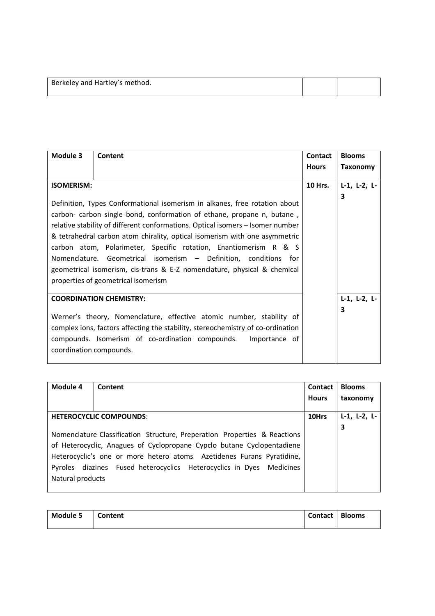| Berkeley and Hartley's method. |  |
|--------------------------------|--|
|                                |  |

| Module 3                       | Content                                                                                                                                                                                                                                                                                                                                                                                                                                                                                                                                                                         | Contact        | <b>Blooms</b>        |
|--------------------------------|---------------------------------------------------------------------------------------------------------------------------------------------------------------------------------------------------------------------------------------------------------------------------------------------------------------------------------------------------------------------------------------------------------------------------------------------------------------------------------------------------------------------------------------------------------------------------------|----------------|----------------------|
|                                |                                                                                                                                                                                                                                                                                                                                                                                                                                                                                                                                                                                 | <b>Hours</b>   | Taxonomy             |
| <b>ISOMERISM:</b>              |                                                                                                                                                                                                                                                                                                                                                                                                                                                                                                                                                                                 | <b>10 Hrs.</b> | $L-1$ , $L-2$ , $L-$ |
|                                | Definition, Types Conformational isomerism in alkanes, free rotation about<br>carbon- carbon single bond, conformation of ethane, propane n, butane,<br>relative stability of different conformations. Optical isomers - Isomer number<br>& tetrahedral carbon atom chirality, optical isomerism with one asymmetric<br>carbon atom, Polarimeter, Specific rotation, Enantiomerism R & S<br>Nomenclature. Geometrical isomerism - Definition, conditions for<br>geometrical isomerism, cis-trans & E-Z nomenclature, physical & chemical<br>properties of geometrical isomerism |                | 3                    |
| <b>COORDINATION CHEMISTRY:</b> |                                                                                                                                                                                                                                                                                                                                                                                                                                                                                                                                                                                 |                | $L-1$ , $L-2$ , $L-$ |
| coordination compounds.        | Werner's theory, Nomenclature, effective atomic number, stability of<br>complex ions, factors affecting the stability, stereochemistry of co-ordination<br>compounds. Isomerism of co-ordination compounds.<br>Importance of                                                                                                                                                                                                                                                                                                                                                    |                | 3                    |

| Module 4         | Content                                                                   | Contact      | <b>Blooms</b>        |
|------------------|---------------------------------------------------------------------------|--------------|----------------------|
|                  |                                                                           | <b>Hours</b> | taxonomy             |
|                  | <b>HETEROCYCLIC COMPOUNDS:</b>                                            | 10Hrs        | $L-1$ , $L-2$ , $L-$ |
|                  |                                                                           |              |                      |
|                  | Nomenclature Classification Structure, Preperation Properties & Reactions |              | 3                    |
|                  | of Heterocyclic, Anagues of Cyclopropane Cypclo butane Cyclopentadiene    |              |                      |
|                  | Heterocyclic's one or more hetero atoms Azetidenes Furans Pyratidine,     |              |                      |
|                  | Pyroles diazines Fused heterocyclics Heterocyclics in Dyes Medicines      |              |                      |
| Natural products |                                                                           |              |                      |
|                  |                                                                           |              |                      |

| Module 5 | <b>Content</b> | Contact   Blooms |  |
|----------|----------------|------------------|--|
|          |                |                  |  |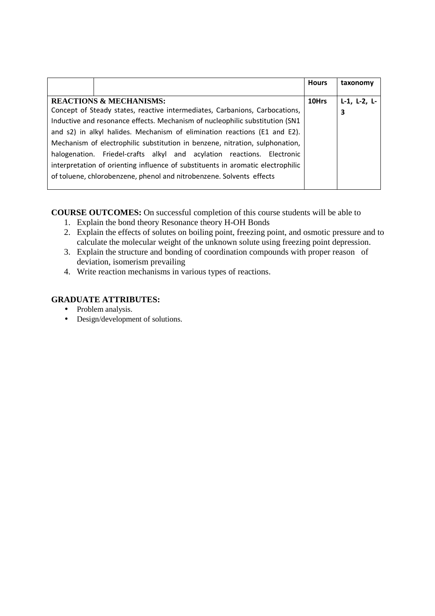|                                                                                 | <b>Hours</b> | taxonomy             |
|---------------------------------------------------------------------------------|--------------|----------------------|
|                                                                                 |              |                      |
| <b>REACTIONS &amp; MECHANISMS:</b>                                              | 10Hrs        | $L-1$ , $L-2$ , $L-$ |
| Concept of Steady states, reactive intermediates, Carbanions, Carbocations,     |              | 3                    |
| Inductive and resonance effects. Mechanism of nucleophilic substitution (SN1    |              |                      |
| and s2) in alkyl halides. Mechanism of elimination reactions (E1 and E2).       |              |                      |
| Mechanism of electrophilic substitution in benzene, nitration, sulphonation,    |              |                      |
| halogenation. Friedel-crafts alkyl and acylation reactions. Electronic          |              |                      |
| interpretation of orienting influence of substituents in aromatic electrophilic |              |                      |
| of toluene, chlorobenzene, phenol and nitrobenzene. Solvents effects            |              |                      |
|                                                                                 |              |                      |

**COURSE OUTCOMES:** On successful completion of this course students will be able to

- 1. Explain the bond theory Resonance theory H-OH Bonds
- 2. Explain the effects of solutes on boiling point, freezing point, and osmotic pressure and to calculate the molecular weight of the unknown solute using freezing point depression.
- 3. Explain the structure and bonding of coordination compounds with proper reason of deviation, isomerism prevailing
- 4. Write reaction mechanisms in various types of reactions.

# **GRADUATE ATTRIBUTES:**

- Problem analysis.
- Design/development of solutions.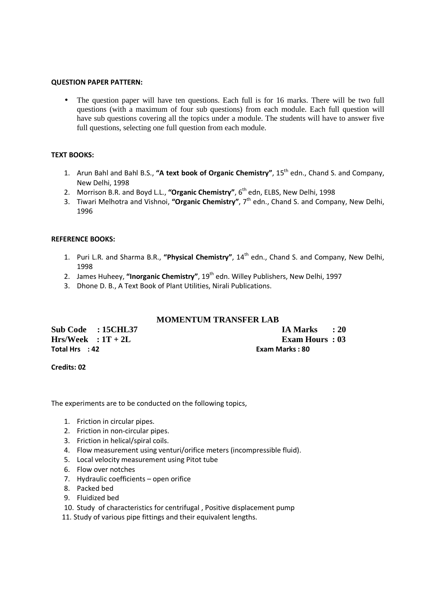#### **QUESTION PAPER PATTERN:**

• The question paper will have ten questions. Each full is for 16 marks. There will be two full questions (with a maximum of four sub questions) from each module. Each full question will have sub questions covering all the topics under a module. The students will have to answer five full questions, selecting one full question from each module.

#### **TEXT BOOKS:**

- 1. Arun Bahl and Bahl B.S., **"A text book of Organic Chemistry"**, 15th edn., Chand S. and Company, New Delhi, 1998
- 2. Morrison B.R. and Boyd L.L., "Organic Chemistry", 6<sup>th</sup> edn, ELBS, New Delhi, 1998
- 3. Tiwari Melhotra and Vishnoi, **"Organic Chemistry"**, 7th edn., Chand S. and Company, New Delhi, 1996

### **REFERENCE BOOKS:**

- 1. Puri L.R. and Sharma B.R., "Physical Chemistry", 14<sup>th</sup> edn., Chand S. and Company, New Delhi, 1998
- 2. James Huheey, "**Inorganic Chemistry**", 19<sup>th</sup> edn. Willey Publishers, New Delhi, 1997
- 3. Dhone D. B., A Text Book of Plant Utilities, Nirali Publications.

# **MOMENTUM TRANSFER LAB**

| Sub Code : 15CHL37   | IA Marks : 20   |
|----------------------|-----------------|
| $Hrs/Week : 1T + 2L$ | Exam Hours: 03  |
| Total Hrs : 42       | Exam Marks : 80 |

#### **Credits: 02**

The experiments are to be conducted on the following topics,

- 1. Friction in circular pipes.
- 2. Friction in non-circular pipes.
- 3. Friction in helical/spiral coils.
- 4. Flow measurement using venturi/orifice meters (incompressible fluid).
- 5. Local velocity measurement using Pitot tube
- 6. Flow over notches
- 7. Hydraulic coefficients open orifice
- 8. Packed bed
- 9. Fluidized bed
- 10. Study of characteristics for centrifugal , Positive displacement pump
- 11. Study of various pipe fittings and their equivalent lengths.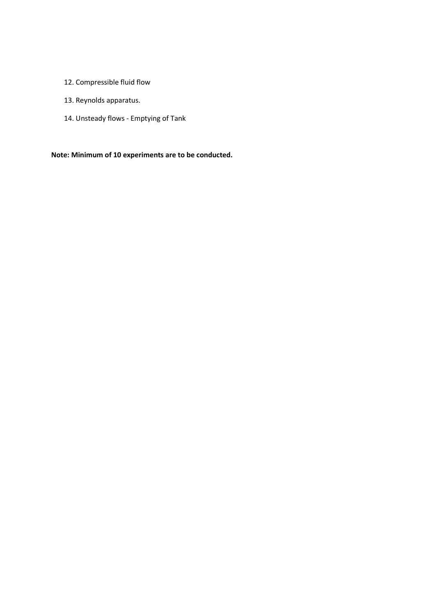- 12. Compressible fluid flow
- 13. Reynolds apparatus.
- 14. Unsteady flows Emptying of Tank

**Note: Minimum of 10 experiments are to be conducted.**